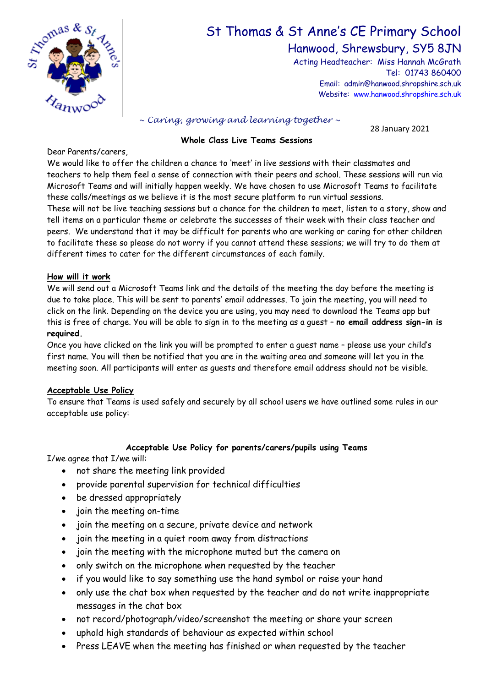

# St Thomas & St Anne's CE Primary School

Hanwood, Shrewsbury, SY5 8JN

Acting Headteacher: Miss Hannah McGrath Tel: 01743 860400 Email: admin@hanwood.shropshire.sch.uk Website: [www.hanwood.shropshire.sch.uk](http://www.hanwood.shropshire.sch.uk/)

*~ Caring, growing and learning together ~*

28 January 2021

## **Whole Class Live Teams Sessions**

Dear Parents/carers,

We would like to offer the children a chance to 'meet' in live sessions with their classmates and teachers to help them feel a sense of connection with their peers and school. These sessions will run via Microsoft Teams and will initially happen weekly. We have chosen to use Microsoft Teams to facilitate these calls/meetings as we believe it is the most secure platform to run virtual sessions.

These will not be live teaching sessions but a chance for the children to meet, listen to a story, show and tell items on a particular theme or celebrate the successes of their week with their class teacher and peers. We understand that it may be difficult for parents who are working or caring for other children to facilitate these so please do not worry if you cannot attend these sessions; we will try to do them at different times to cater for the different circumstances of each family.

#### **How will it work**

We will send out a Microsoft Teams link and the details of the meeting the day before the meeting is due to take place. This will be sent to parents' email addresses. To join the meeting, you will need to click on the link. Depending on the device you are using, you may need to download the Teams app but this is free of charge. You will be able to sign in to the meeting as a guest – **no email address sign-in is required.**

Once you have clicked on the link you will be prompted to enter a guest name – please use your child's first name. You will then be notified that you are in the waiting area and someone will let you in the meeting soon. All participants will enter as guests and therefore email address should not be visible.

### **Acceptable Use Policy**

To ensure that Teams is used safely and securely by all school users we have outlined some rules in our acceptable use policy:

### **Acceptable Use Policy for parents/carers/pupils using Teams**

I/we agree that I/we will:

- not share the meeting link provided
- provide parental supervision for technical difficulties
- be dressed appropriately
- join the meeting on-time
- join the meeting on a secure, private device and network
- join the meeting in a quiet room away from distractions
- join the meeting with the microphone muted but the camera on
- only switch on the microphone when requested by the teacher
- if you would like to say something use the hand symbol or raise your hand
- only use the chat box when requested by the teacher and do not write inappropriate messages in the chat box
- not record/photograph/video/screenshot the meeting or share your screen
- uphold high standards of behaviour as expected within school
- Press LEAVE when the meeting has finished or when requested by the teacher